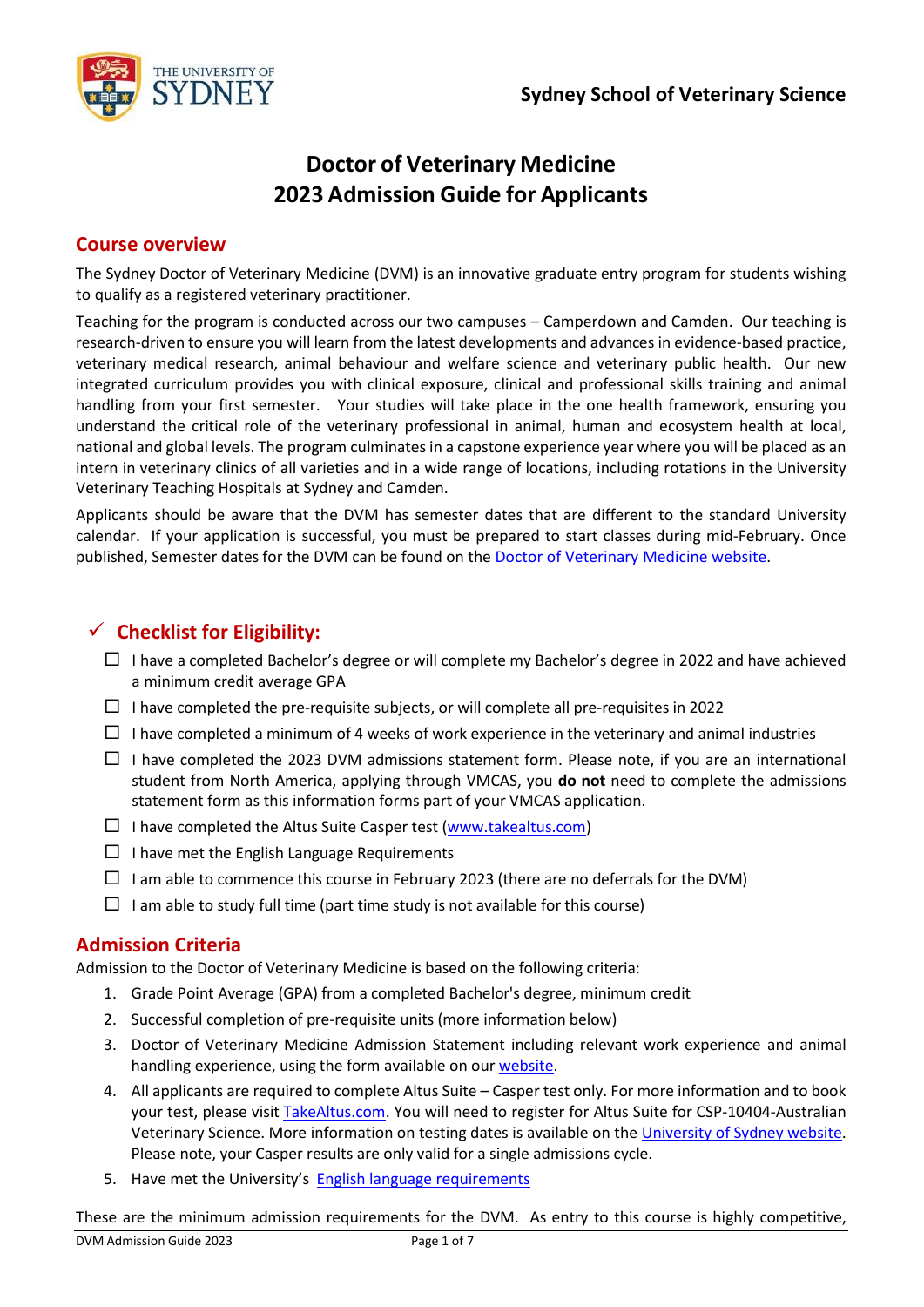

# **Doctor of Veterinary Medicine 2023 Admission Guide for Applicants**

### **Course overview**

The Sydney Doctor of Veterinary Medicine (DVM) is an innovative graduate entry program for students wishing to qualify as a registered veterinary practitioner.

Teaching for the program is conducted across our two campuses – Camperdown and Camden. Our teaching is research-driven to ensure you will learn from the latest developments and advances in evidence-based practice, veterinary medical research, animal behaviour and welfare science and veterinary public health. Our new integrated curriculum provides you with clinical exposure, clinical and professional skills training and animal handling from your first semester. Your studies will take place in the one health framework, ensuring you understand the critical role of the veterinary professional in animal, human and ecosystem health at local, national and global levels. The program culminates in a capstone experience year where you will be placed as an intern in veterinary clinics of all varieties and in a wide range of locations, including rotations in the University Veterinary Teaching Hospitals at Sydney and Camden.

Applicants should be aware that the DVM has semester dates that are different to the standard University calendar. If your application is successful, you must be prepared to start classes during mid-February. Once published, Semester dates for the DVM can be found on the **[Doctor of Veterinary Medicine](http://sydney.edu.au/vetscience/dvm/dates.shtml) website**.

## ✓ **Checklist for Eligibility:**

- $\Box$  I have a completed Bachelor's degree or will complete my Bachelor's degree in 2022 and have achieved a minimum credit average GPA
- $\Box$  I have completed the pre-requisite subjects, or will complete all pre-requisites in 2022
- $\Box$  I have completed a minimum of 4 weeks of work experience in the veterinary and animal industries
- $\Box$  I have completed the 2023 DVM admissions statement form. Please note, if you are an international student from North America, applying through VMCAS, you **do not** need to complete the admissions statement form as this information forms part of your VMCAS application.
- $\Box$  I have completed the Altus Suite Casper test [\(www.takealtus.com\)](http://www.takealtus.com/)
- $\Box$  I have met the English Language Requirements
- $\Box$  I am able to commence this course in February 2023 (there are no deferrals for the DVM)
- $\Box$  I am able to study full time (part time study is not available for this course)

### **Admission Criteria**

Admission to the Doctor of Veterinary Medicine is based on the following criteria:

- 1. Grade Point Average (GPA) from a completed Bachelor's degree, minimum credit
- 2. Successful completion of pre-requisite units (more information below)
- 3. Doctor of Veterinary Medicine Admission Statement including relevant work experience and animal handling experience, using the form available on our [website.](http://sydney.edu.au/vetscience/dvm/entry.shtml)
- 4. All applicants are required to complete Altus Suite Casper test only. For more information and to book your test, please visit [TakeAltus.com.](https://takealtus.com/) You will need to register for Altus Suite for CSP-10404-Australian Veterinary Science. More information on testing dates is available on the [University of Sydney website.](https://www.sydney.edu.au/courses/courses/pc/doctor-of-veterinary-medicine.html) Please note, your Casper results are only valid for a single admissions cycle.
- 5. Have met the University's **[English language requirements](http://sydney.edu.au/future-students/international/postgraduate/coursework/entry-requirements/english-language.shtml)**

These are the minimum admission requirements for the DVM. As entry to this course is highly competitive,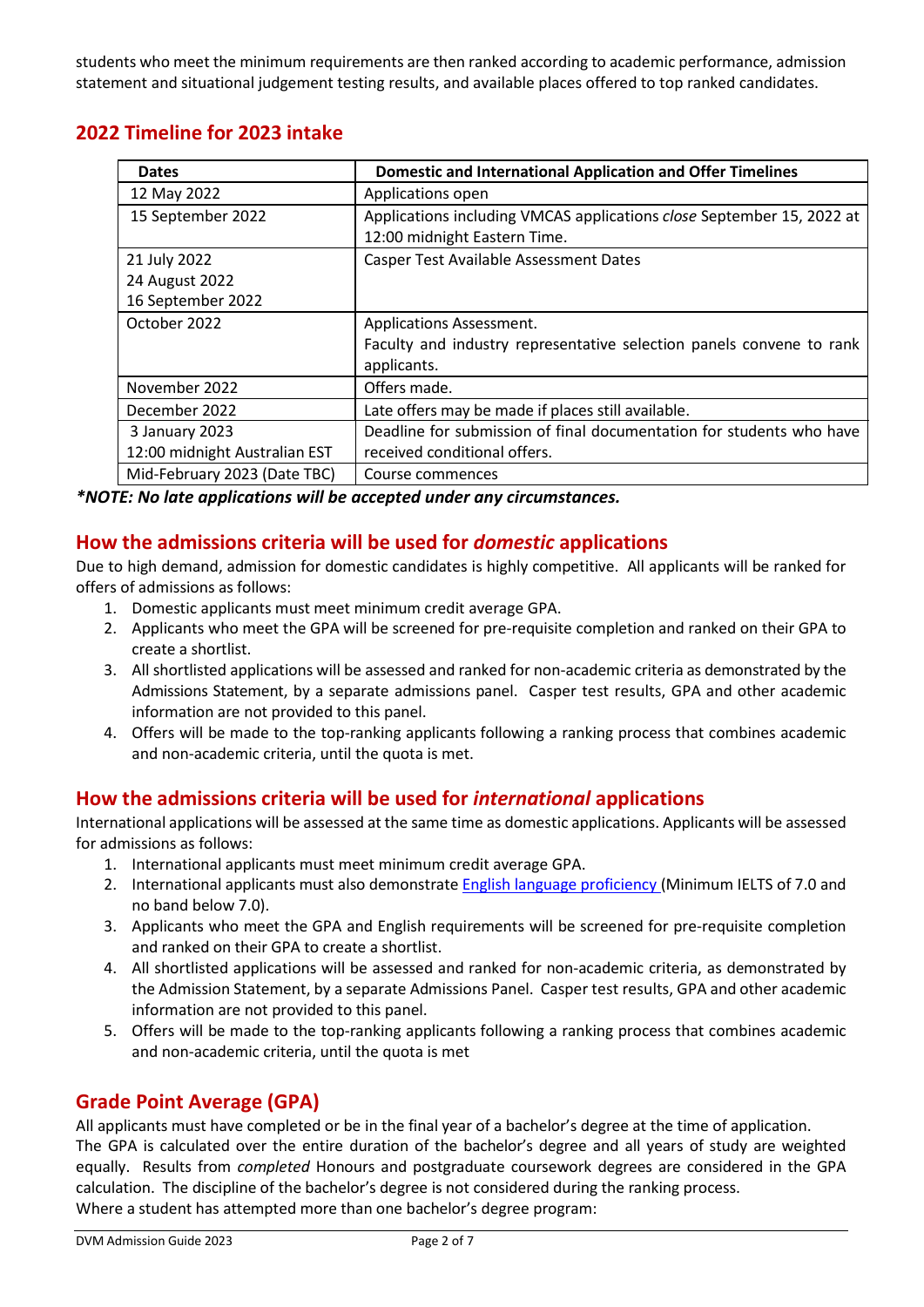students who meet the minimum requirements are then ranked according to academic performance, admission statement and situational judgement testing results, and available places offered to top ranked candidates.

## **2022 Timeline for 2023 intake**

| <b>Dates</b>                  | <b>Domestic and International Application and Offer Timelines</b>     |
|-------------------------------|-----------------------------------------------------------------------|
| 12 May 2022                   | Applications open                                                     |
| 15 September 2022             | Applications including VMCAS applications close September 15, 2022 at |
|                               | 12:00 midnight Eastern Time.                                          |
| 21 July 2022                  | <b>Casper Test Available Assessment Dates</b>                         |
| 24 August 2022                |                                                                       |
| 16 September 2022             |                                                                       |
| October 2022                  | <b>Applications Assessment.</b>                                       |
|                               | Faculty and industry representative selection panels convene to rank  |
|                               | applicants.                                                           |
| November 2022                 | Offers made.                                                          |
| December 2022                 | Late offers may be made if places still available.                    |
| 3 January 2023                | Deadline for submission of final documentation for students who have  |
| 12:00 midnight Australian EST | received conditional offers.                                          |
| Mid-February 2023 (Date TBC)  | Course commences                                                      |

*\*NOTE: No late applications will be accepted under any circumstances.*

## **How the admissions criteria will be used for** *domestic* **applications**

Due to high demand, admission for domestic candidates is highly competitive. All applicants will be ranked for offers of admissions as follows:

- 1. Domestic applicants must meet minimum credit average GPA.
- 2. Applicants who meet the GPA will be screened for pre-requisite completion and ranked on their GPA to create a shortlist.
- 3. All shortlisted applications will be assessed and ranked for non-academic criteria as demonstrated by the Admissions Statement, by a separate admissions panel. Casper test results, GPA and other academic information are not provided to this panel.
- 4. Offers will be made to the top-ranking applicants following a ranking process that combines academic and non-academic criteria, until the quota is met.

## **How the admissions criteria will be used for** *international* **applications**

International applications will be assessed at the same time as domestic applications. Applicants will be assessed for admissions as follows:

- 1. International applicants must meet minimum credit average GPA.
- 2. International applicants must also demonstrate **English [language proficiency](http://sydney.edu.au/future-students/international/postgraduate/coursework/entry-requirements/english-language.shtml) (Minimum IELTS of 7.0 and** no band below 7.0).
- 3. Applicants who meet the GPA and English requirements will be screened for pre-requisite completion and ranked on their GPA to create a shortlist.
- 4. All shortlisted applications will be assessed and ranked for non-academic criteria, as demonstrated by the Admission Statement, by a separate Admissions Panel. Casper test results, GPA and other academic information are not provided to this panel.
- 5. Offers will be made to the top-ranking applicants following a ranking process that combines academic and non-academic criteria, until the quota is met

## **Grade Point Average (GPA)**

All applicants must have completed or be in the final year of a bachelor's degree at the time of application.

The GPA is calculated over the entire duration of the bachelor's degree and all years of study are weighted equally. Results from *completed* Honours and postgraduate coursework degrees are considered in the GPA calculation. The discipline of the bachelor's degree is not considered during the ranking process. Where a student has attempted more than one bachelor's degree program: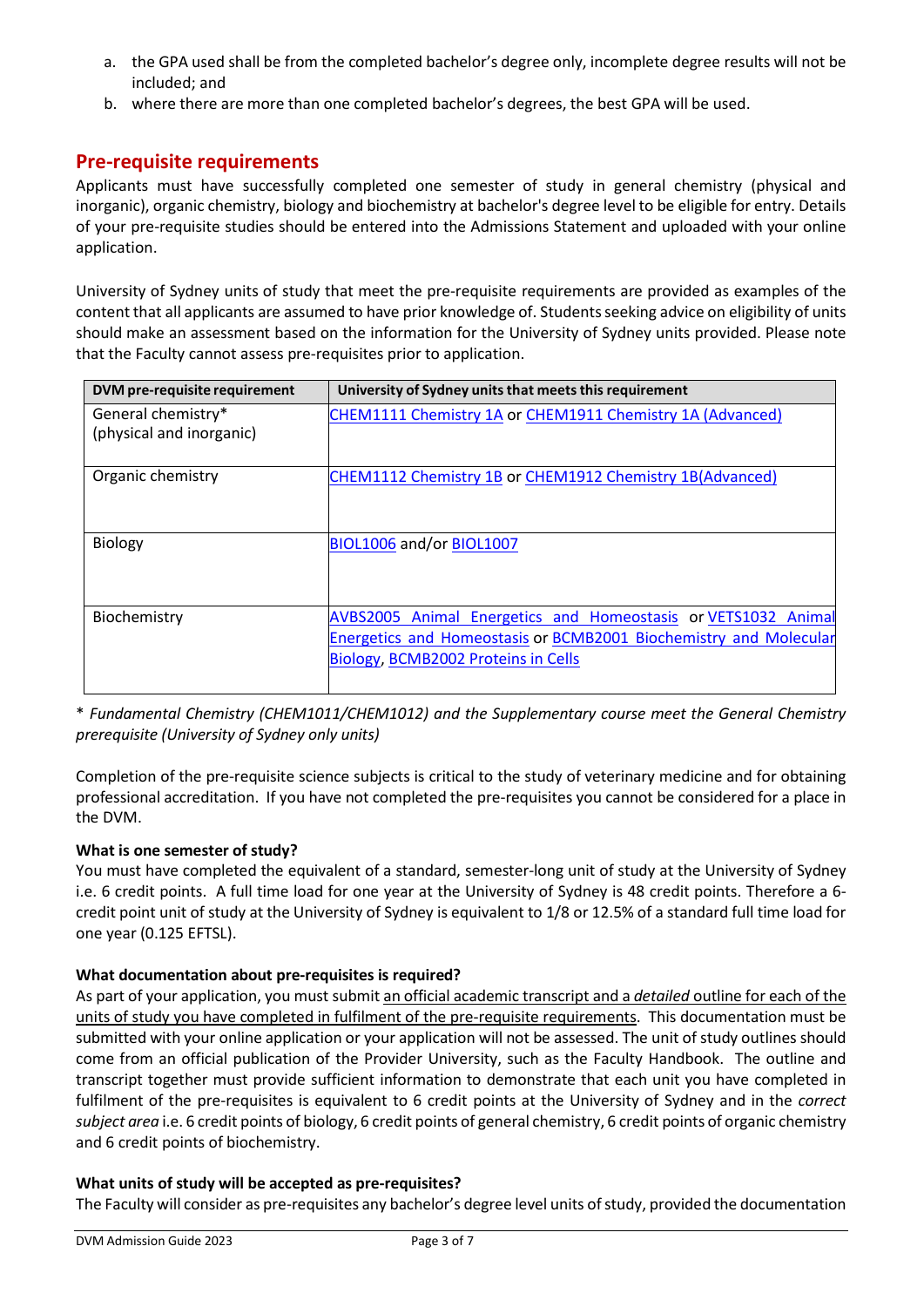- a. the GPA used shall be from the completed bachelor's degree only, incomplete degree results will not be included; and
- b. where there are more than one completed bachelor's degrees, the best GPA will be used.

## **Pre-requisite requirements**

Applicants must have successfully completed one semester of study in general chemistry (physical and inorganic), organic chemistry, biology and biochemistry at bachelor's degree level to be eligible for entry. Details of your pre-requisite studies should be entered into the Admissions Statement and uploaded with your online application.

University of Sydney units of study that meet the pre-requisite requirements are provided as examples of the content that all applicants are assumed to have prior knowledge of. Studentsseeking advice on eligibility of units should make an assessment based on the information for the University of Sydney units provided. Please note that the Faculty cannot assess pre-requisites prior to application.

| DVM pre-requisite requirement                  | University of Sydney units that meets this requirement                                                                                                                    |
|------------------------------------------------|---------------------------------------------------------------------------------------------------------------------------------------------------------------------------|
| General chemistry*<br>(physical and inorganic) | CHEM1111 Chemistry 1A or CHEM1911 Chemistry 1A (Advanced)                                                                                                                 |
| Organic chemistry                              | CHEM1112 Chemistry 1B or CHEM1912 Chemistry 1B(Advanced)                                                                                                                  |
| <b>Biology</b>                                 | BIOL1006 and/or BIOL1007                                                                                                                                                  |
| Biochemistry                                   | AVBS2005 Animal Energetics and Homeostasis or VETS1032 Animal<br>Energetics and Homeostasis or BCMB2001 Biochemistry and Molecular<br>Biology, BCMB2002 Proteins in Cells |

\* *Fundamental Chemistry (CHEM1011/CHEM1012) and the Supplementary course meet the General Chemistry prerequisite (University of Sydney only units)*

Completion of the pre-requisite science subjects is critical to the study of veterinary medicine and for obtaining professional accreditation. If you have not completed the pre-requisites you cannot be considered for a place in the DVM.

### **What is one semester of study?**

You must have completed the equivalent of a standard, semester-long unit of study at the University of Sydney i.e. 6 credit points. A full time load for one year at the University of Sydney is 48 credit points. Therefore a 6 credit point unit of study at the University of Sydney is equivalent to 1/8 or 12.5% of a standard full time load for one year (0.125 EFTSL).

### **What documentation about pre-requisites is required?**

As part of your application, you must submit an official academic transcript and a *detailed* outline for each of the units of study you have completed in fulfilment of the pre-requisite requirements. This documentation must be submitted with your online application or your application will not be assessed. The unit of study outlines should come from an official publication of the Provider University, such as the Faculty Handbook. The outline and transcript together must provide sufficient information to demonstrate that each unit you have completed in fulfilment of the pre-requisites is equivalent to 6 credit points at the University of Sydney and in the *correct subject area* i.e. 6 credit points of biology, 6 credit points of general chemistry, 6 credit points of organic chemistry and 6 credit points of biochemistry.

#### **What units of study will be accepted as pre-requisites?**

The Faculty will consider as pre-requisites any bachelor's degree level units of study, provided the documentation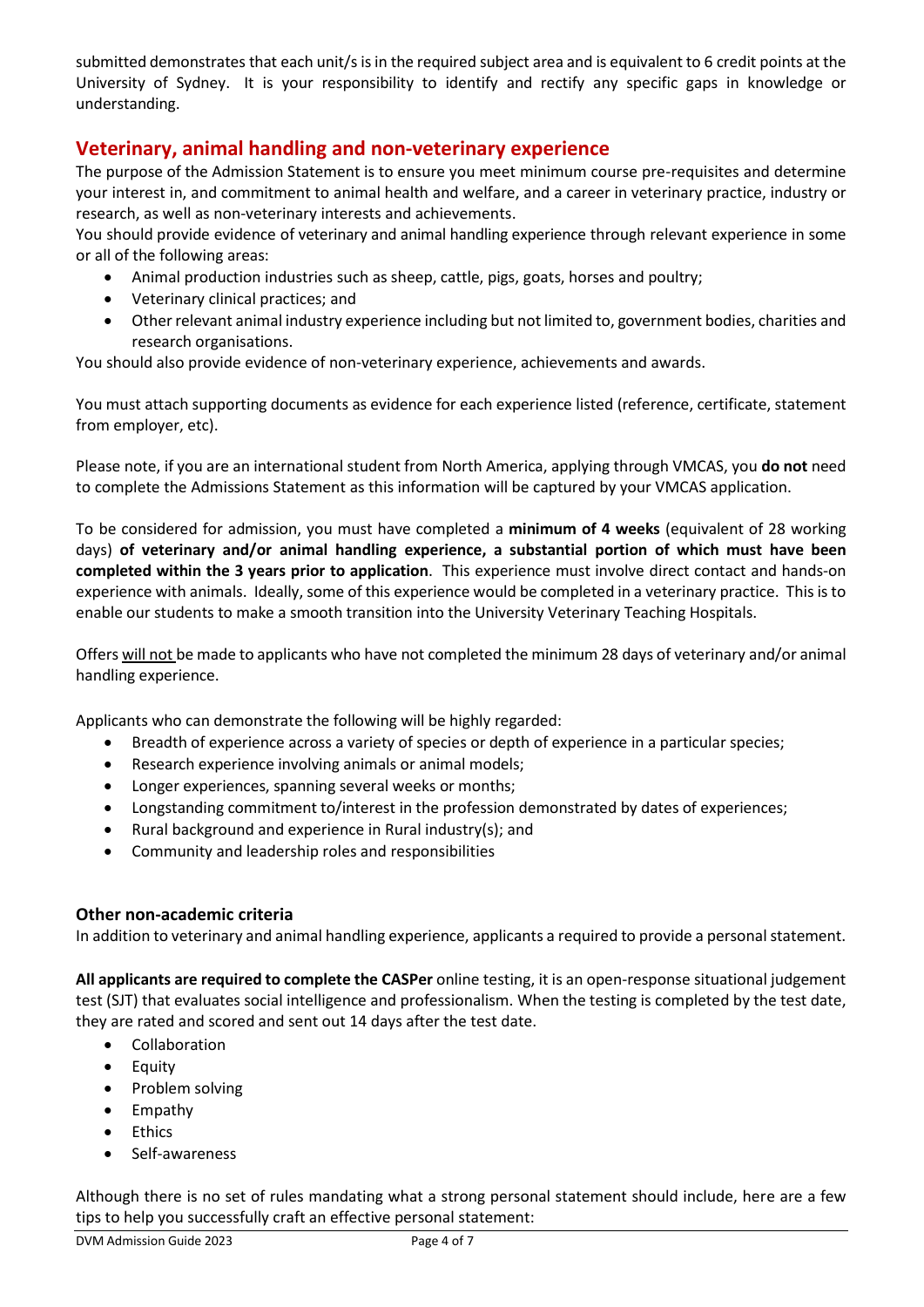submitted demonstrates that each unit/s isin the required subject area and is equivalent to 6 credit points at the University of Sydney. It is your responsibility to identify and rectify any specific gaps in knowledge or understanding.

## **Veterinary, animal handling and non-veterinary experience**

The purpose of the Admission Statement is to ensure you meet minimum course pre-requisites and determine your interest in, and commitment to animal health and welfare, and a career in veterinary practice, industry or research, as well as non-veterinary interests and achievements.

You should provide evidence of veterinary and animal handling experience through relevant experience in some or all of the following areas:

- Animal production industries such as sheep, cattle, pigs, goats, horses and poultry;
- Veterinary clinical practices; and
- Other relevant animal industry experience including but not limited to, government bodies, charities and research organisations.

You should also provide evidence of non-veterinary experience, achievements and awards.

You must attach supporting documents as evidence for each experience listed (reference, certificate, statement from employer, etc).

Please note, if you are an international student from North America, applying through VMCAS, you **do not** need to complete the Admissions Statement as this information will be captured by your VMCAS application.

To be considered for admission, you must have completed a **minimum of 4 weeks** (equivalent of 28 working days) **of veterinary and/or animal handling experience, a substantial portion of which must have been completed within the 3 years prior to application**. This experience must involve direct contact and hands-on experience with animals. Ideally, some of this experience would be completed in a veterinary practice. This is to enable our students to make a smooth transition into the University Veterinary Teaching Hospitals.

Offers will not be made to applicants who have not completed the minimum 28 days of veterinary and/or animal handling experience.

Applicants who can demonstrate the following will be highly regarded:

- Breadth of experience across a variety of species or depth of experience in a particular species;
- Research experience involving animals or animal models;
- Longer experiences, spanning several weeks or months;
- Longstanding commitment to/interest in the profession demonstrated by dates of experiences;
- Rural background and experience in Rural industry(s); and
- Community and leadership roles and responsibilities

#### **Other non-academic criteria**

In addition to veterinary and animal handling experience, applicants a required to provide a personal statement.

**All applicants are required to complete the CASPer** online testing, it is an open-response situational judgement test (SJT) that evaluates social intelligence and professionalism. When the testing is completed by the test date, they are rated and scored and sent out 14 days after the test date.

- Collaboration
- Equity
- Problem solving
- Empathy
- Ethics
- Self-awareness

Although there is no set of rules mandating what a strong personal statement should include, here are a few tips to help you successfully craft an effective personal statement: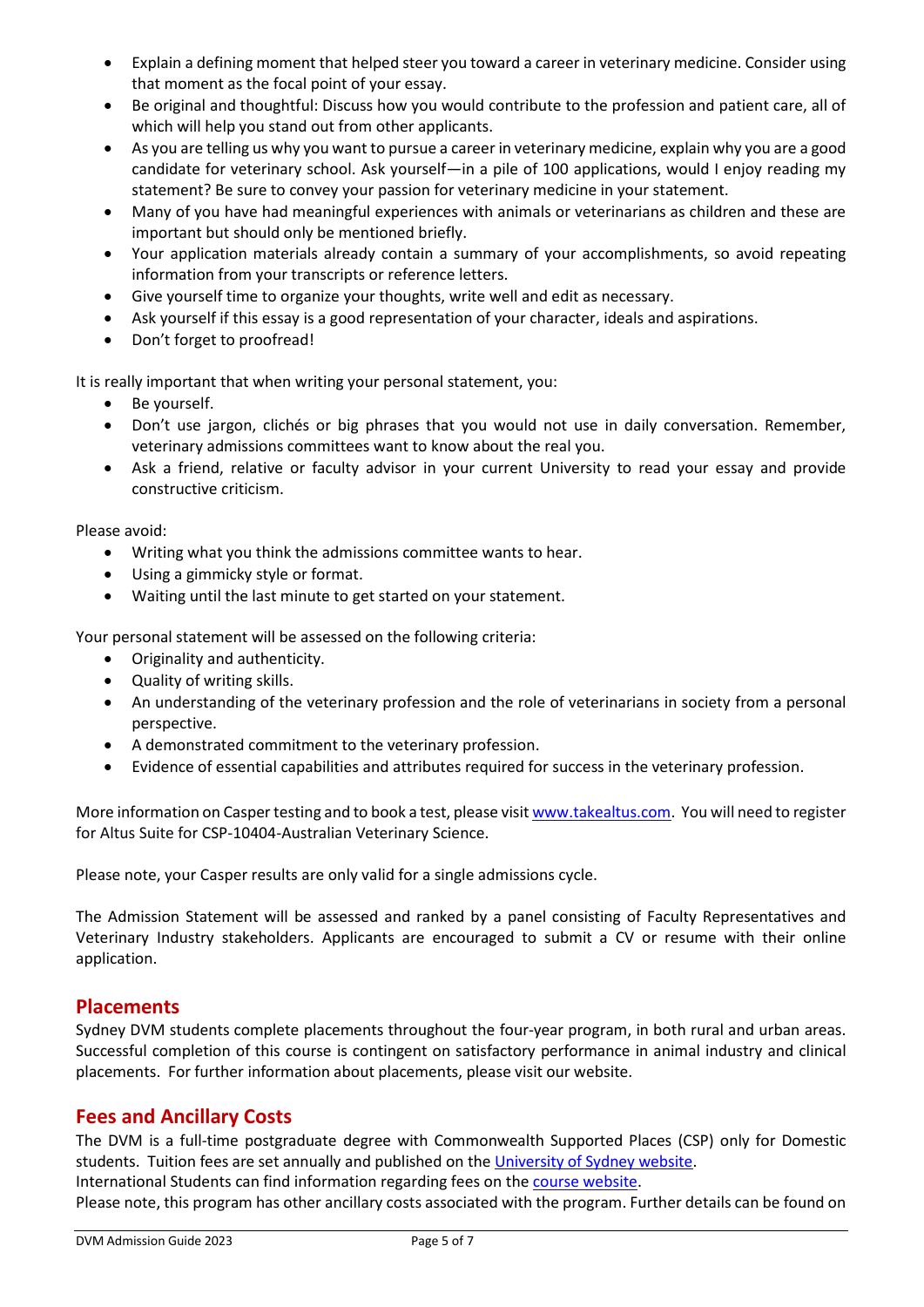- Explain a defining moment that helped steer you toward a career in veterinary medicine. Consider using that moment as the focal point of your essay.
- Be original and thoughtful: Discuss how you would contribute to the profession and patient care, all of which will help you stand out from other applicants.
- As you are telling us why you want to pursue a career in veterinary medicine, explain why you are a good candidate for veterinary school. Ask yourself—in a pile of 100 applications, would I enjoy reading my statement? Be sure to convey your passion for veterinary medicine in your statement.
- Many of you have had meaningful experiences with animals or veterinarians as children and these are important but should only be mentioned briefly.
- Your application materials already contain a summary of your accomplishments, so avoid repeating information from your transcripts or reference letters.
- Give yourself time to organize your thoughts, write well and edit as necessary.
- Ask yourself if this essay is a good representation of your character, ideals and aspirations.
- Don't forget to proofread!

It is really important that when writing your personal statement, you:

- Be yourself.
- Don't use jargon, clichés or big phrases that you would not use in daily conversation. Remember, veterinary admissions committees want to know about the real you.
- Ask a friend, relative or faculty advisor in your current University to read your essay and provide constructive criticism.

Please avoid:

- Writing what you think the admissions committee wants to hear.
- Using a gimmicky style or format.
- Waiting until the last minute to get started on your statement.

Your personal statement will be assessed on the following criteria:

- Originality and authenticity.
- Quality of writing skills.
- An understanding of the veterinary profession and the role of veterinarians in society from a personal perspective.
- A demonstrated commitment to the veterinary profession.
- Evidence of essential capabilities and attributes required for success in the veterinary profession.

More information on Casper testing and to book a test, please visi[t www.takealtus.com.](http://www.takealtus.com/) You will need to register for Altus Suite for CSP-10404-Australian Veterinary Science.

Please note, your Casper results are only valid for a single admissions cycle.

The Admission Statement will be assessed and ranked by a panel consisting of Faculty Representatives and Veterinary Industry stakeholders. Applicants are encouraged to submit a CV or resume with their online application.

### **Placements**

Sydney DVM students complete placements throughout the four-year program, in both rural and urban areas. Successful completion of this course is contingent on satisfactory performance in animal industry and clinical placements. For further information about placements, please visit our website.

### **Fees and Ancillary Costs**

The DVM is a full-time postgraduate degree with Commonwealth Supported Places (CSP) only for Domestic students. Tuition fees are set annually and published on the [University of Sydney website.](http://sydney.edu.au/courses/doctor-of-veterinary-medicine) International Students can find information regarding fees on th[e course website.](http://sydney.edu.au/courses/doctor-of-veterinary-medicine)

Please note, this program has other ancillary costs associated with the program. Further details can be found on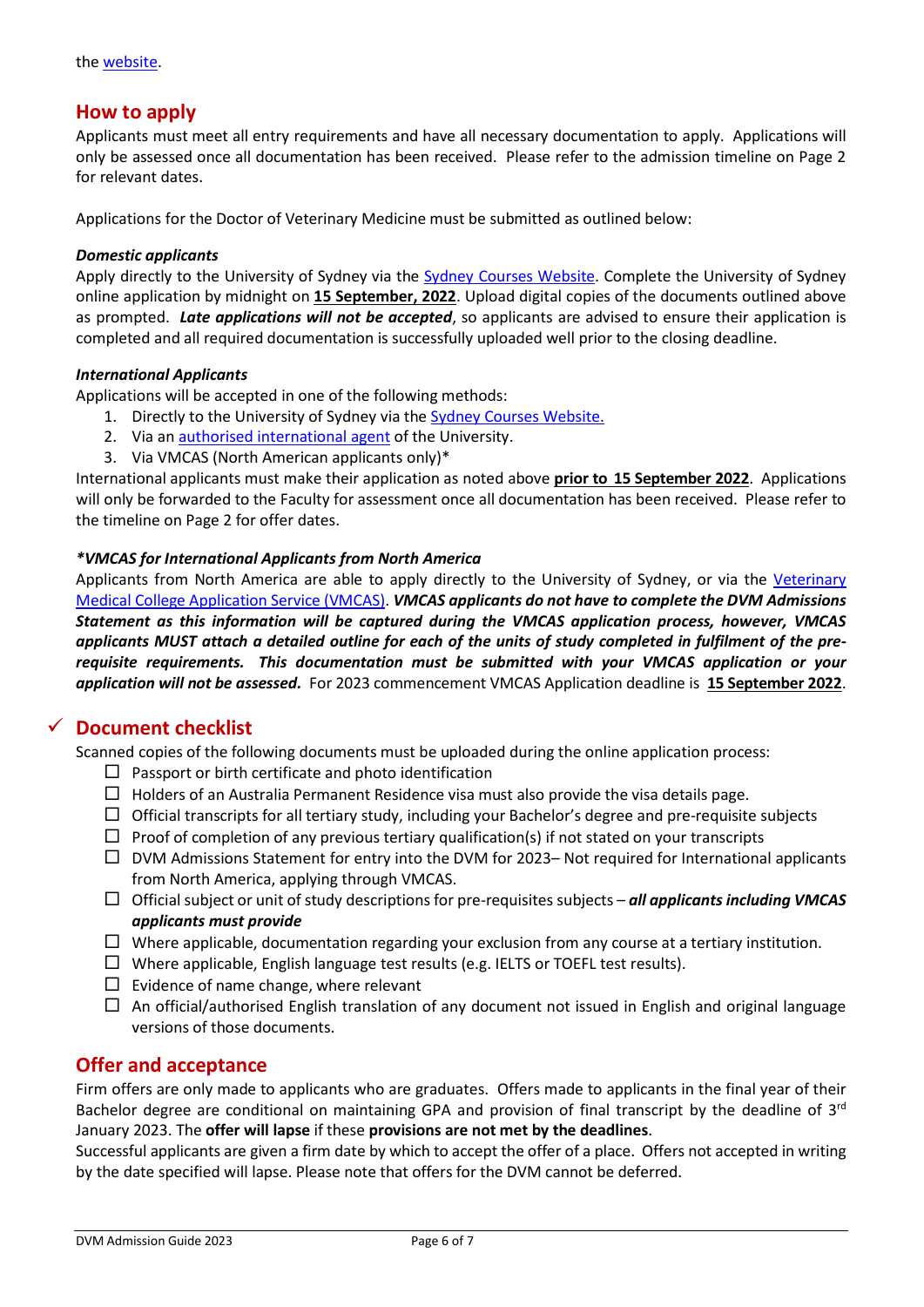### **How to apply**

Applicants must meet all entry requirements and have all necessary documentation to apply. Applications will only be assessed once all documentation has been received. Please refer to the admission timeline on Page 2 for relevant dates.

Applications for the Doctor of Veterinary Medicine must be submitted as outlined below:

#### *Domestic applicants*

Apply directly to the University of Sydney via the **Sydney Courses Website**. Complete the University of Sydney online application by midnight on **15 September, 2022**. Upload digital copies of the documents outlined above as prompted. *Late applications will not be accepted*, so applicants are advised to ensure their application is completed and all required documentation is successfully uploaded well prior to the closing deadline.

#### *International Applicants*

Applications will be accepted in one of the following methods:

- 1. Directly to the University of Sydney via the Sydney [Courses Website.](http://sydney.edu.au/courses/doctor-of-veterinary-medicine)
- 2. Via an authorised [international agent](https://www.sydney.edu.au/study/how-to-apply/international-students/global-agents.html) of the University.
- 3. Via VMCAS (North American applicants only)\*

International applicants must make their application as noted above **prior to 15 September 2022**. Applications will only be forwarded to the Faculty for assessment once all documentation has been received. Please refer to the timeline on Page 2 for offer dates.

#### *\*VMCAS for International Applicants from North America*

Applicants from North America are able to apply directly to the University of Sydney, or via the [Veterinary](http://www.aavmc.org/Students-Applicants-and-Advisors/Veterinary-Medical-College-Application-Service.aspx) [Medical College Application Service \(VMCAS\).](http://www.aavmc.org/Students-Applicants-and-Advisors/Veterinary-Medical-College-Application-Service.aspx) *VMCAS applicants do not have to complete the DVM Admissions Statement as this information will be captured during the VMCAS application process, however, VMCAS applicants MUST attach a detailed outline for each of the units of study completed in fulfilment of the prerequisite requirements. This documentation must be submitted with your VMCAS application or your application will not be assessed.* For 2023 commencement VMCAS Application deadline is **15 September 2022**.

## ✓ **Document checklist**

Scanned copies of the following documents must be uploaded during the online application process:

- $\square$  Passport or birth certificate and photo identification
- $\Box$  Holders of an Australia Permanent Residence visa must also provide the visa details page.
- $\Box$  Official transcripts for all tertiary study, including your Bachelor's degree and pre-requisite subjects
- $\Box$  Proof of completion of any previous tertiary qualification(s) if not stated on your transcripts
- $\Box$  DVM Admissions Statement for entry into the DVM for 2023– Not required for International applicants from North America, applying through VMCAS.
- Official subject or unit of study descriptions for pre-requisites subjects *all applicants including VMCAS applicants must provide*
- $\Box$  Where applicable, documentation regarding your exclusion from any course at a tertiary institution.
- $\Box$  Where applicable, English language test results (e.g. IELTS or TOEFL test results).
- $\square$  Evidence of name change, where relevant
- $\Box$  An official/authorised English translation of any document not issued in English and original language versions of those documents.

### **Offer and acceptance**

Firm offers are only made to applicants who are graduates. Offers made to applicants in the final year of their Bachelor degree are conditional on maintaining GPA and provision of final transcript by the deadline of  $3^{rd}$ January 2023. The **offer will lapse** if these **provisions are not met by the deadlines**.

Successful applicants are given a firm date by which to accept the offer of a place. Offers not accepted in writing by the date specified will lapse. Please note that offers for the DVM cannot be deferred.